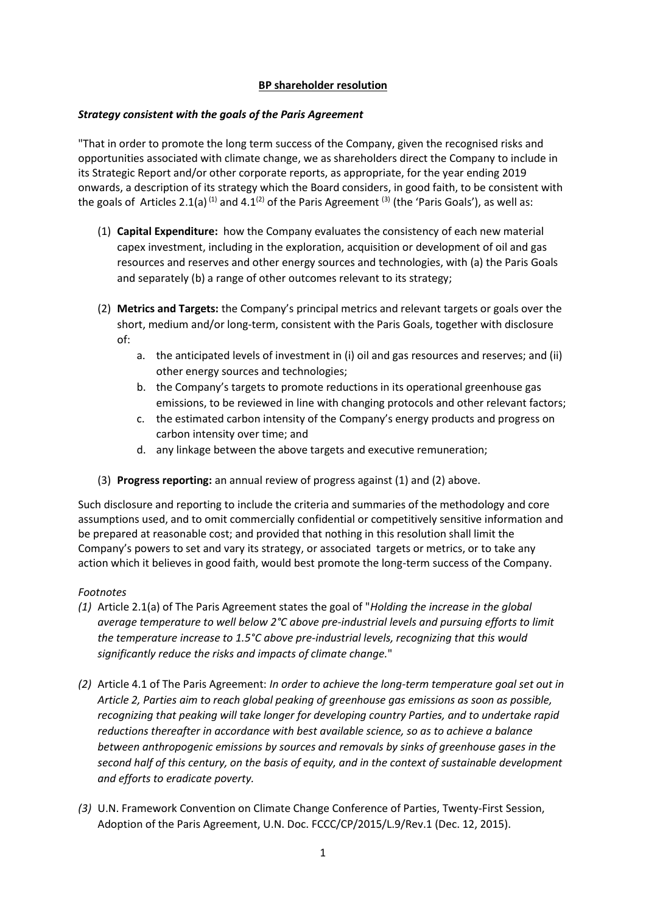## **BP shareholder resolution**

### *Strategy consistent with the goals of the Paris Agreement*

"That in order to promote the long term success of the Company, given the recognised risks and opportunities associated with climate change, we as shareholders direct the Company to include in its Strategic Report and/or other corporate reports, as appropriate, for the year ending 2019 onwards, a description of its strategy which the Board considers, in good faith, to be consistent with the goals of Articles 2.1(a)<sup>(1)</sup> and 4.1<sup>(2)</sup> of the Paris Agreement<sup>(3)</sup> (the 'Paris Goals'), as well as:

- (1) **Capital Expenditure:** how the Company evaluates the consistency of each new material capex investment, including in the exploration, acquisition or development of oil and gas resources and reserves and other energy sources and technologies, with (a) the Paris Goals and separately (b) a range of other outcomes relevant to its strategy;
- (2) **Metrics and Targets:** the Company's principal metrics and relevant targets or goals over the short, medium and/or long-term, consistent with the Paris Goals, together with disclosure of:
	- a. the anticipated levels of investment in (i) oil and gas resources and reserves; and (ii) other energy sources and technologies;
	- b. the Company's targets to promote reductions in its operational greenhouse gas emissions, to be reviewed in line with changing protocols and other relevant factors;
	- c. the estimated carbon intensity of the Company's energy products and progress on carbon intensity over time; and
	- d. any linkage between the above targets and executive remuneration;
- (3) **Progress reporting:** an annual review of progress against (1) and (2) above.

Such disclosure and reporting to include the criteria and summaries of the methodology and core assumptions used, and to omit commercially confidential or competitively sensitive information and be prepared at reasonable cost; and provided that nothing in this resolution shall limit the Company's powers to set and vary its strategy, or associated targets or metrics, or to take any action which it believes in good faith, would best promote the long-term success of the Company.

#### *Footnotes*

- *(1)* Article 2.1(a) of The Paris Agreement states the goal of "*Holding the increase in the global average temperature to well below 2°C above pre-industrial levels and pursuing efforts to limit the temperature increase to 1.5°C above pre-industrial levels, recognizing that this would significantly reduce the risks and impacts of climate change.*"
- *(2)* Article 4.1 of The Paris Agreement: *In order to achieve the long-term temperature goal set out in Article 2, Parties aim to reach global peaking of greenhouse gas emissions as soon as possible, recognizing that peaking will take longer for developing country Parties, and to undertake rapid reductions thereafter in accordance with best available science, so as to achieve a balance between anthropogenic emissions by sources and removals by sinks of greenhouse gases in the second half of this century, on the basis of equity, and in the context of sustainable development and efforts to eradicate poverty.*
- *(3)* U.N. Framework Convention on Climate Change Conference of Parties, Twenty-First Session, Adoption of the Paris Agreement, U.N. Doc. FCCC/CP/2015/L.9/Rev.1 (Dec. 12, 2015).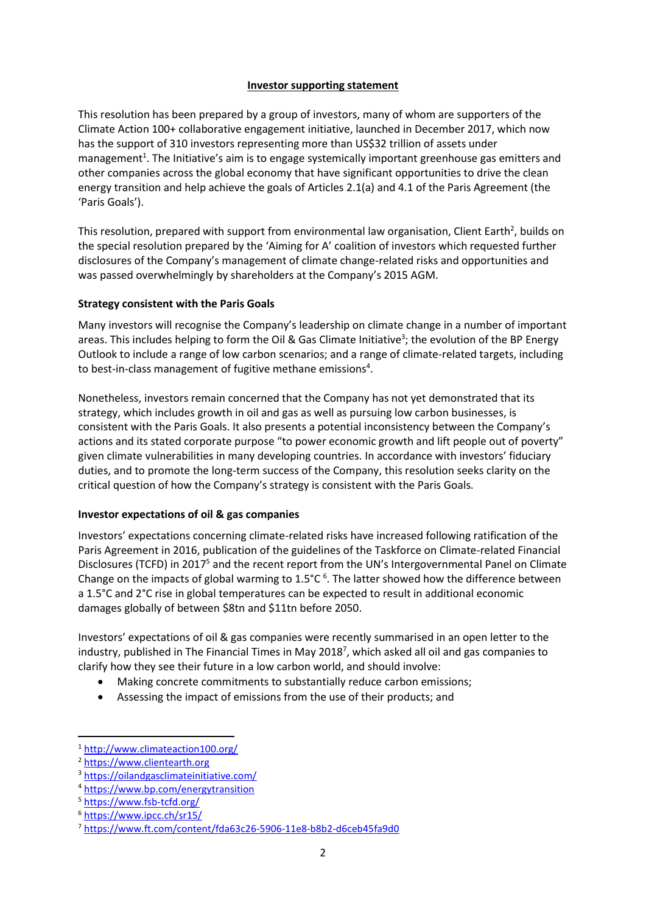### **Investor supporting statement**

This resolution has been prepared by a group of investors, many of whom are supporters of the Climate Action 100+ collaborative engagement initiative, launched in December 2017, which now has the support of 310 investors representing more than US\$32 trillion of assets under management<sup>1</sup>. The Initiative's aim is to engage systemically important greenhouse gas emitters and other companies across the global economy that have significant opportunities to drive the clean energy transition and help achieve the goals of Articles 2.1(a) and 4.1 of the Paris Agreement (the 'Paris Goals').

This resolution, prepared with support from environmental law organisation, Client Earth<sup>2</sup>, builds on the special resolution prepared by the 'Aiming for A' coalition of investors which requested further disclosures of the Company's management of climate change-related risks and opportunities and was passed overwhelmingly by shareholders at the Company's 2015 AGM.

# **Strategy consistent with the Paris Goals**

Many investors will recognise the Company's leadership on climate change in a number of important areas. This includes helping to form the Oil & Gas Climate Initiative<sup>3</sup>; the evolution of the BP Energy Outlook to include a range of low carbon scenarios; and a range of climate-related targets, including to best-in-class management of fugitive methane emissions<sup>4</sup>.

Nonetheless, investors remain concerned that the Company has not yet demonstrated that its strategy, which includes growth in oil and gas as well as pursuing low carbon businesses, is consistent with the Paris Goals. It also presents a potential inconsistency between the Company's actions and its stated corporate purpose "to power economic growth and lift people out of poverty" given climate vulnerabilities in many developing countries. In accordance with investors' fiduciary duties, and to promote the long-term success of the Company, this resolution seeks clarity on the critical question of how the Company's strategy is consistent with the Paris Goals.

# **Investor expectations of oil & gas companies**

Investors' expectations concerning climate-related risks have increased following ratification of the Paris Agreement in 2016, publication of the guidelines of the Taskforce on Climate-related Financial Disclosures (TCFD) in 2017<sup>5</sup> and the recent report from the UN's Intergovernmental Panel on Climate Change on the impacts of global warming to  $1.5^{\circ}$ C  $^{\circ}$ . The latter showed how the difference between a 1.5°C and 2°C rise in global temperatures can be expected to result in additional economic damages globally of between \$8tn and \$11tn before 2050.

Investors' expectations of oil & gas companies were recently summarised in an open letter to the industry, published in The Financial Times in May 2018<sup>7</sup> , which asked all oil and gas companies to clarify how they see their future in a low carbon world, and should involve:

- Making concrete commitments to substantially reduce carbon emissions;
- Assessing the impact of emissions from the use of their products; and

**.** 

<sup>1</sup> <http://www.climateaction100.org/>

<sup>2</sup> [https://www.clientearth.org](https://www.clientearth.org/)

<sup>3</sup> <https://oilandgasclimateinitiative.com/>

<sup>4</sup> <https://www.bp.com/energytransition>

<sup>5</sup> <https://www.fsb-tcfd.org/>

<sup>6</sup> <https://www.ipcc.ch/sr15/>

<sup>7</sup> <https://www.ft.com/content/fda63c26-5906-11e8-b8b2-d6ceb45fa9d0>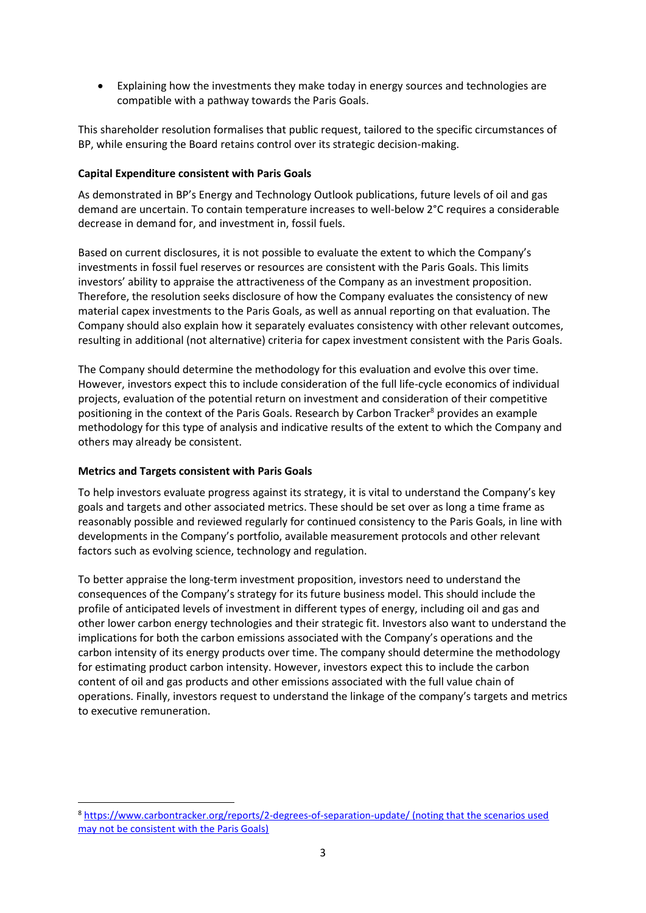• Explaining how the investments they make today in energy sources and technologies are compatible with a pathway towards the Paris Goals.

This shareholder resolution formalises that public request, tailored to the specific circumstances of BP, while ensuring the Board retains control over its strategic decision-making.

## **Capital Expenditure consistent with Paris Goals**

As demonstrated in BP's Energy and Technology Outlook publications, future levels of oil and gas demand are uncertain. To contain temperature increases to well-below 2°C requires a considerable decrease in demand for, and investment in, fossil fuels.

Based on current disclosures, it is not possible to evaluate the extent to which the Company's investments in fossil fuel reserves or resources are consistent with the Paris Goals. This limits investors' ability to appraise the attractiveness of the Company as an investment proposition. Therefore, the resolution seeks disclosure of how the Company evaluates the consistency of new material capex investments to the Paris Goals, as well as annual reporting on that evaluation. The Company should also explain how it separately evaluates consistency with other relevant outcomes, resulting in additional (not alternative) criteria for capex investment consistent with the Paris Goals.

The Company should determine the methodology for this evaluation and evolve this over time. However, investors expect this to include consideration of the full life-cycle economics of individual projects, evaluation of the potential return on investment and consideration of their competitive positioning in the context of the Paris Goals. Research by Carbon Tracker<sup>8</sup> provides an example methodology for this type of analysis and indicative results of the extent to which the Company and others may already be consistent.

#### **Metrics and Targets consistent with Paris Goals**

To help investors evaluate progress against its strategy, it is vital to understand the Company's key goals and targets and other associated metrics. These should be set over as long a time frame as reasonably possible and reviewed regularly for continued consistency to the Paris Goals, in line with developments in the Company's portfolio, available measurement protocols and other relevant factors such as evolving science, technology and regulation.

To better appraise the long-term investment proposition, investors need to understand the consequences of the Company's strategy for its future business model. This should include the profile of anticipated levels of investment in different types of energy, including oil and gas and other lower carbon energy technologies and their strategic fit. Investors also want to understand the implications for both the carbon emissions associated with the Company's operations and the carbon intensity of its energy products over time. The company should determine the methodology for estimating product carbon intensity. However, investors expect this to include the carbon content of oil and gas products and other emissions associated with the full value chain of operations. Finally, investors request to understand the linkage of the company's targets and metrics to executive remuneration.

 $\overline{a}$ <sup>8</sup> <https://www.carbontracker.org/reports/2-degrees-of-separation-update/> (noting that the scenarios used may not be consistent with the Paris Goals)